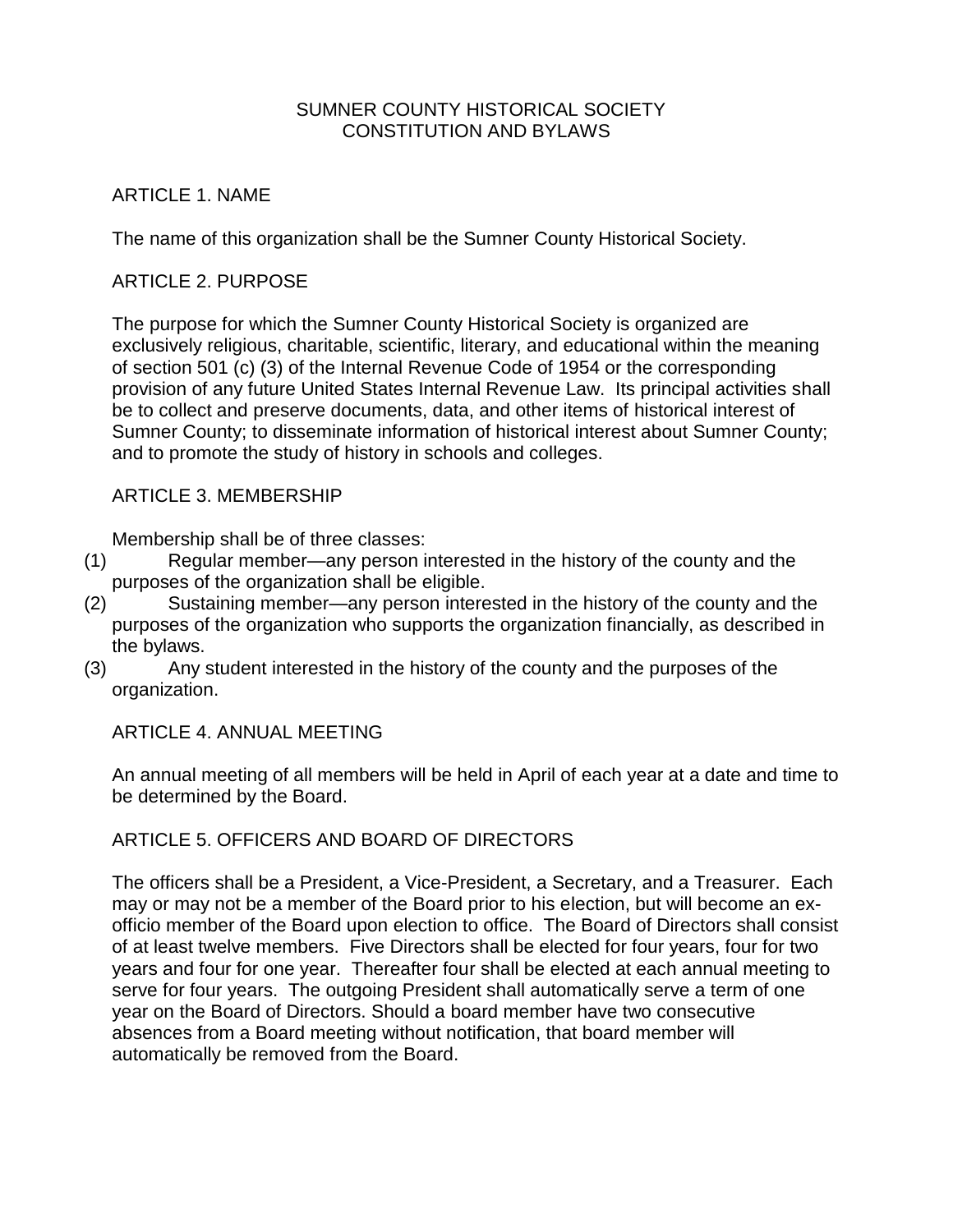### SUMNER COUNTY HISTORICAL SOCIETY CONSTITUTION AND BYLAWS

# ARTICLE 1. NAME

The name of this organization shall be the Sumner County Historical Society.

## ARTICLE 2. PURPOSE

The purpose for which the Sumner County Historical Society is organized are exclusively religious, charitable, scientific, literary, and educational within the meaning of section 501 (c) (3) of the Internal Revenue Code of 1954 or the corresponding provision of any future United States Internal Revenue Law. Its principal activities shall be to collect and preserve documents, data, and other items of historical interest of Sumner County; to disseminate information of historical interest about Sumner County; and to promote the study of history in schools and colleges.

#### ARTICLE 3. MEMBERSHIP

Membership shall be of three classes:

- (1) Regular member—any person interested in the history of the county and the purposes of the organization shall be eligible.
- (2) Sustaining member—any person interested in the history of the county and the purposes of the organization who supports the organization financially, as described in the bylaws.
- (3) Any student interested in the history of the county and the purposes of the organization.

ARTICLE 4. ANNUAL MEETING

An annual meeting of all members will be held in April of each year at a date and time to be determined by the Board.

# ARTICLE 5. OFFICERS AND BOARD OF DIRECTORS

The officers shall be a President, a Vice-President, a Secretary, and a Treasurer. Each may or may not be a member of the Board prior to his election, but will become an exofficio member of the Board upon election to office. The Board of Directors shall consist of at least twelve members. Five Directors shall be elected for four years, four for two years and four for one year. Thereafter four shall be elected at each annual meeting to serve for four years. The outgoing President shall automatically serve a term of one year on the Board of Directors. Should a board member have two consecutive absences from a Board meeting without notification, that board member will automatically be removed from the Board.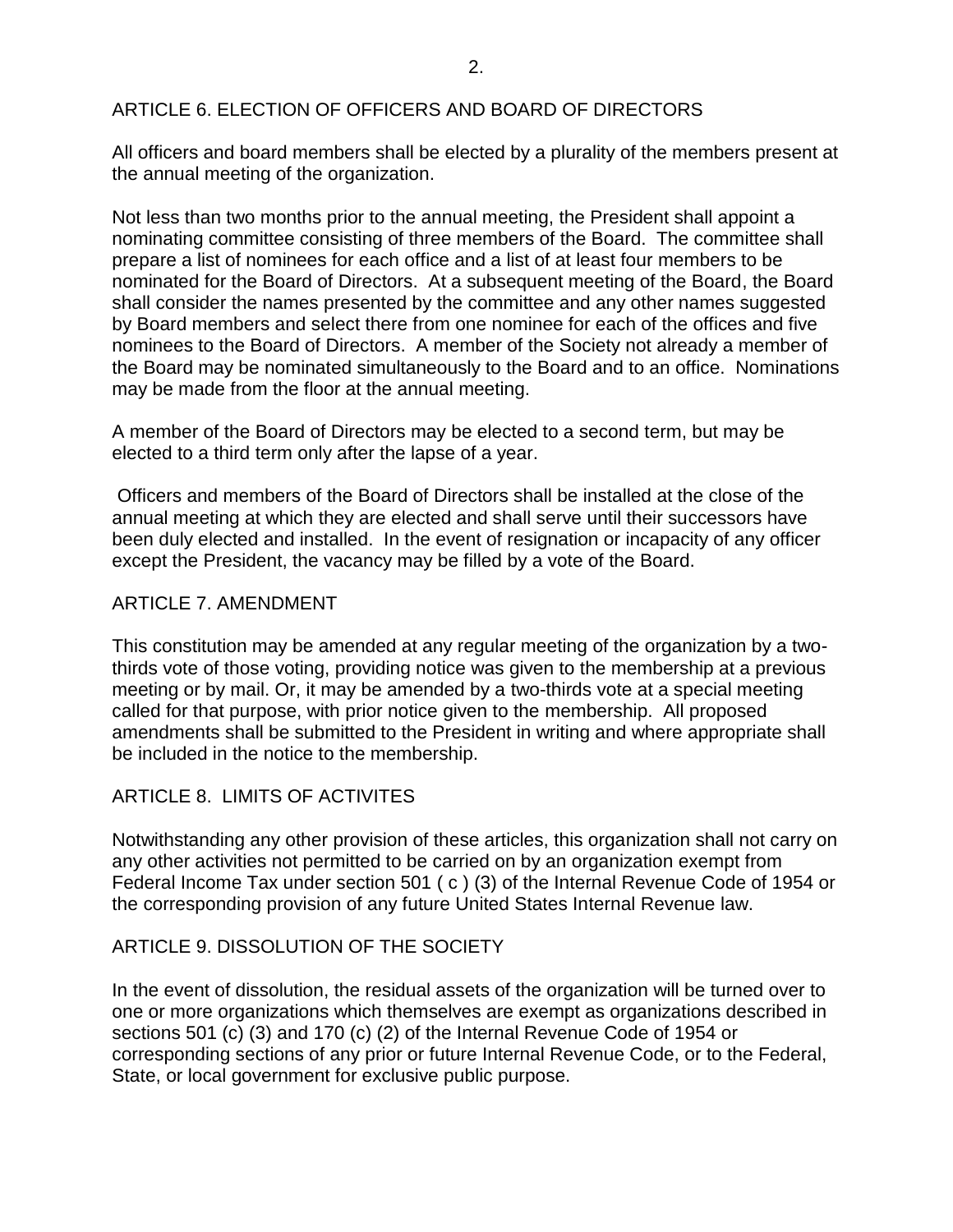# ARTICLE 6. ELECTION OF OFFICERS AND BOARD OF DIRECTORS

All officers and board members shall be elected by a plurality of the members present at the annual meeting of the organization.

Not less than two months prior to the annual meeting, the President shall appoint a nominating committee consisting of three members of the Board. The committee shall prepare a list of nominees for each office and a list of at least four members to be nominated for the Board of Directors. At a subsequent meeting of the Board, the Board shall consider the names presented by the committee and any other names suggested by Board members and select there from one nominee for each of the offices and five nominees to the Board of Directors. A member of the Society not already a member of the Board may be nominated simultaneously to the Board and to an office. Nominations may be made from the floor at the annual meeting.

A member of the Board of Directors may be elected to a second term, but may be elected to a third term only after the lapse of a year.

Officers and members of the Board of Directors shall be installed at the close of the annual meeting at which they are elected and shall serve until their successors have been duly elected and installed. In the event of resignation or incapacity of any officer except the President, the vacancy may be filled by a vote of the Board.

### ARTICLE 7. AMENDMENT

This constitution may be amended at any regular meeting of the organization by a twothirds vote of those voting, providing notice was given to the membership at a previous meeting or by mail. Or, it may be amended by a two-thirds vote at a special meeting called for that purpose, with prior notice given to the membership. All proposed amendments shall be submitted to the President in writing and where appropriate shall be included in the notice to the membership.

### ARTICLE 8. LIMITS OF ACTIVITES

Notwithstanding any other provision of these articles, this organization shall not carry on any other activities not permitted to be carried on by an organization exempt from Federal Income Tax under section 501 ( c ) (3) of the Internal Revenue Code of 1954 or the corresponding provision of any future United States Internal Revenue law.

### ARTICLE 9. DISSOLUTION OF THE SOCIETY

In the event of dissolution, the residual assets of the organization will be turned over to one or more organizations which themselves are exempt as organizations described in sections 501 (c) (3) and 170 (c) (2) of the Internal Revenue Code of 1954 or corresponding sections of any prior or future Internal Revenue Code, or to the Federal, State, or local government for exclusive public purpose.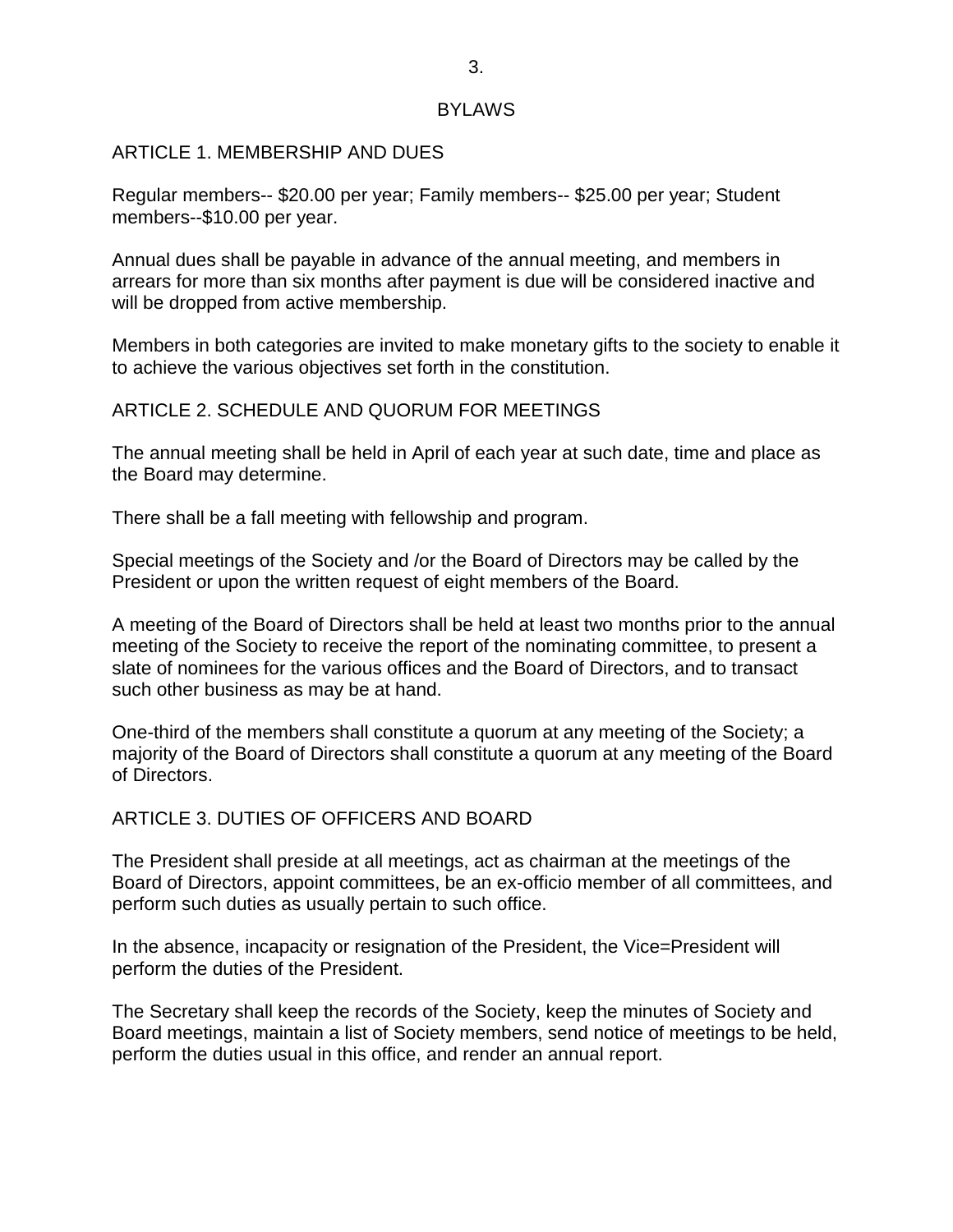#### **BYLAWS**

#### ARTICLE 1. MEMBERSHIP AND DUES

Regular members-- \$20.00 per year; Family members-- \$25.00 per year; Student members--\$10.00 per year.

Annual dues shall be payable in advance of the annual meeting, and members in arrears for more than six months after payment is due will be considered inactive and will be dropped from active membership.

Members in both categories are invited to make monetary gifts to the society to enable it to achieve the various objectives set forth in the constitution.

#### ARTICLE 2. SCHEDULE AND QUORUM FOR MEETINGS

The annual meeting shall be held in April of each year at such date, time and place as the Board may determine.

There shall be a fall meeting with fellowship and program.

Special meetings of the Society and /or the Board of Directors may be called by the President or upon the written request of eight members of the Board.

A meeting of the Board of Directors shall be held at least two months prior to the annual meeting of the Society to receive the report of the nominating committee, to present a slate of nominees for the various offices and the Board of Directors, and to transact such other business as may be at hand.

One-third of the members shall constitute a quorum at any meeting of the Society; a majority of the Board of Directors shall constitute a quorum at any meeting of the Board of Directors.

### ARTICLE 3. DUTIES OF OFFICERS AND BOARD

The President shall preside at all meetings, act as chairman at the meetings of the Board of Directors, appoint committees, be an ex-officio member of all committees, and perform such duties as usually pertain to such office.

In the absence, incapacity or resignation of the President, the Vice=President will perform the duties of the President.

The Secretary shall keep the records of the Society, keep the minutes of Society and Board meetings, maintain a list of Society members, send notice of meetings to be held, perform the duties usual in this office, and render an annual report.